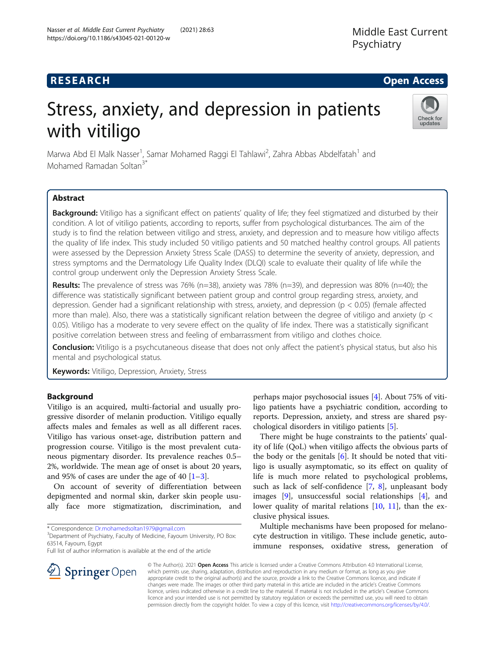# **RESEARCH CHE Open Access**

# Stress, anxiety, and depression in patients with vitiligo



Marwa Abd El Malk Nasser<sup>1</sup>, Samar Mohamed Raggi El Tahlawi<sup>2</sup>, Zahra Abbas Abdelfatah<sup>1</sup> and Mohamed Ramadan Soltan3\*

# Abstract

Background: Vitiligo has a significant effect on patients' quality of life; they feel stigmatized and disturbed by their condition. A lot of vitiligo patients, according to reports, suffer from psychological disturbances. The aim of the study is to find the relation between vitiligo and stress, anxiety, and depression and to measure how vitiligo affects the quality of life index. This study included 50 vitiligo patients and 50 matched healthy control groups. All patients were assessed by the Depression Anxiety Stress Scale (DASS) to determine the severity of anxiety, depression, and stress symptoms and the Dermatology Life Quality Index (DLQI) scale to evaluate their quality of life while the control group underwent only the Depression Anxiety Stress Scale.

Results: The prevalence of stress was 76% (n=38), anxiety was 78% (n=39), and depression was 80% (n=40); the difference was statistically significant between patient group and control group regarding stress, anxiety, and depression. Gender had a significant relationship with stress, anxiety, and depression (p < 0.05) (female affected more than male). Also, there was a statistically significant relation between the degree of vitiligo and anxiety (p < 0.05). Vitiligo has a moderate to very severe effect on the quality of life index. There was a statistically significant positive correlation between stress and feeling of embarrassment from vitiligo and clothes choice.

Conclusion: Vitiligo is a psychcutaneous disease that does not only affect the patient's physical status, but also his mental and psychological status.

Keywords: Vitiligo, Depression, Anxiety, Stress

## Background

Vitiligo is an acquired, multi-factorial and usually progressive disorder of melanin production. Vitiligo equally affects males and females as well as all different races. Vitiligo has various onset-age, distribution pattern and progression course. Vitiligo is the most prevalent cutaneous pigmentary disorder. Its prevalence reaches 0.5– 2%, worldwide. The mean age of onset is about 20 years, and 95% of cases are under the age of 40  $[1-3]$  $[1-3]$  $[1-3]$  $[1-3]$ .

On account of severity of differentiation between depigmented and normal skin, darker skin people usually face more stigmatization, discrimination, and

\* Correspondence: [Dr.mohamedsoltan1979@gmail.com](mailto:Dr.mohamedsoltan1979@gmail.com) <sup>3</sup>

<sup>3</sup> Department of Psychiatry, Faculty of Medicine, Fayoum University, PO Box: 63514, Fayoum, Egypt

Full list of author information is available at the end of the article



There might be huge constraints to the patients' quality of life (QoL) when vitiligo affects the obvious parts of the body or the genitals  $[6]$  $[6]$ . It should be noted that vitiligo is usually asymptomatic, so its effect on quality of life is much more related to psychological problems, such as lack of self-confidence  $[7, 8]$  $[7, 8]$  $[7, 8]$  $[7, 8]$  $[7, 8]$ , unpleasant body images [\[9](#page-8-0)], unsuccessful social relationships [[4\]](#page-8-0), and lower quality of marital relations [[10,](#page-8-0) [11\]](#page-8-0), than the exclusive physical issues.

Multiple mechanisms have been proposed for melanocyte destruction in vitiligo. These include genetic, autoimmune responses, oxidative stress, generation of

© The Author(s). 2021 Open Access This article is licensed under a Creative Commons Attribution 4.0 International License, which permits use, sharing, adaptation, distribution and reproduction in any medium or format, as long as you give appropriate credit to the original author(s) and the source, provide a link to the Creative Commons licence, and indicate if changes were made. The images or other third party material in this article are included in the article's Creative Commons licence, unless indicated otherwise in a credit line to the material. If material is not included in the article's Creative Commons licence and your intended use is not permitted by statutory regulation or exceeds the permitted use, you will need to obtain permission directly from the copyright holder. To view a copy of this licence, visit <http://creativecommons.org/licenses/by/4.0/>.

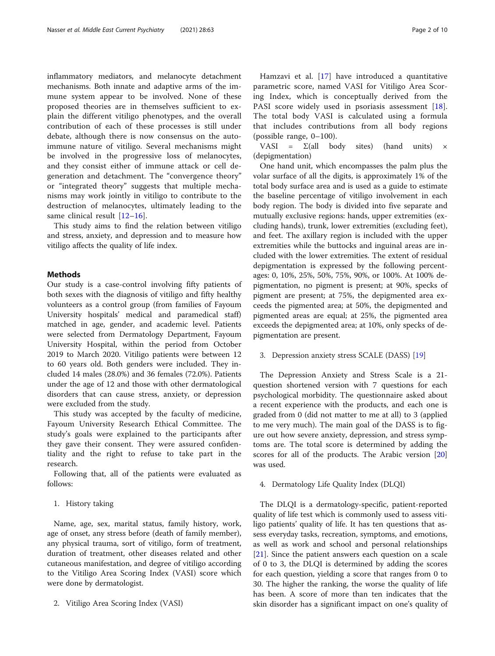inflammatory mediators, and melanocyte detachment mechanisms. Both innate and adaptive arms of the immune system appear to be involved. None of these proposed theories are in themselves sufficient to explain the different vitiligo phenotypes, and the overall contribution of each of these processes is still under debate, although there is now consensus on the autoimmune nature of vitiligo. Several mechanisms might be involved in the progressive loss of melanocytes, and they consist either of immune attack or cell degeneration and detachment. The "convergence theory" or "integrated theory" suggests that multiple mechanisms may work jointly in vitiligo to contribute to the destruction of melanocytes, ultimately leading to the same clinical result [[12](#page-8-0)-[16\]](#page-8-0).

This study aims to find the relation between vitiligo and stress, anxiety, and depression and to measure how vitiligo affects the quality of life index.

#### Methods

Our study is a case-control involving fifty patients of both sexes with the diagnosis of vitiligo and fifty healthy volunteers as a control group (from families of Fayoum University hospitals' medical and paramedical staff) matched in age, gender, and academic level. Patients were selected from Dermatology Department, Fayoum University Hospital, within the period from October 2019 to March 2020. Vitiligo patients were between 12 to 60 years old. Both genders were included. They included 14 males (28.0%) and 36 females (72.0%). Patients under the age of 12 and those with other dermatological disorders that can cause stress, anxiety, or depression were excluded from the study.

This study was accepted by the faculty of medicine, Fayoum University Research Ethical Committee. The study's goals were explained to the participants after they gave their consent. They were assured confidentiality and the right to refuse to take part in the research.

Following that, all of the patients were evaluated as follows:

#### 1. History taking

Name, age, sex, marital status, family history, work, age of onset, any stress before (death of family member), any physical trauma, sort of vitiligo, form of treatment, duration of treatment, other diseases related and other cutaneous manifestation, and degree of vitiligo according to the Vitiligo Area Scoring Index (VASI) score which were done by dermatologist.

2. Vitiligo Area Scoring Index (VASI)

Hamzavi et al. [[17\]](#page-8-0) have introduced a quantitative parametric score, named VASI for Vitiligo Area Scoring Index, which is conceptually derived from the PASI score widely used in psoriasis assessment [\[18](#page-8-0)]. The total body VASI is calculated using a formula that includes contributions from all body regions (possible range, 0–100).

VASI =  $\Sigma$ (all body sites) (hand units)  $\times$ (depigmentation)

One hand unit, which encompasses the palm plus the volar surface of all the digits, is approximately 1% of the total body surface area and is used as a guide to estimate the baseline percentage of vitiligo involvement in each body region. The body is divided into five separate and mutually exclusive regions: hands, upper extremities (excluding hands), trunk, lower extremities (excluding feet), and feet. The axillary region is included with the upper extremities while the buttocks and inguinal areas are included with the lower extremities. The extent of residual depigmentation is expressed by the following percentages: 0, 10%, 25%, 50%, 75%, 90%, or 100%. At 100% depigmentation, no pigment is present; at 90%, specks of pigment are present; at 75%, the depigmented area exceeds the pigmented area; at 50%, the depigmented and pigmented areas are equal; at 25%, the pigmented area exceeds the depigmented area; at 10%, only specks of depigmentation are present.

#### 3. Depression anxiety stress SCALE (DASS) [[19\]](#page-8-0)

The Depression Anxiety and Stress Scale is a 21 question shortened version with 7 questions for each psychological morbidity. The questionnaire asked about a recent experience with the products, and each one is graded from 0 (did not matter to me at all) to 3 (applied to me very much). The main goal of the DASS is to figure out how severe anxiety, depression, and stress symptoms are. The total score is determined by adding the scores for all of the products. The Arabic version [[20](#page-8-0)] was used.

#### 4. Dermatology Life Quality Index (DLQI)

The DLQI is a dermatology-specific, patient-reported quality of life test which is commonly used to assess vitiligo patients' quality of life. It has ten questions that assess everyday tasks, recreation, symptoms, and emotions, as well as work and school and personal relationships [[21\]](#page-8-0). Since the patient answers each question on a scale of 0 to 3, the DLQI is determined by adding the scores for each question, yielding a score that ranges from 0 to 30. The higher the ranking, the worse the quality of life has been. A score of more than ten indicates that the skin disorder has a significant impact on one's quality of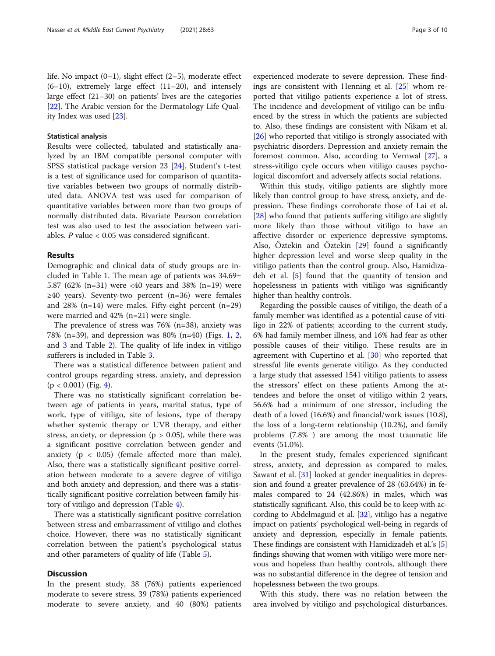life. No impact (0–1), slight effect (2–5), moderate effect  $(6-10)$ , extremely large effect  $(11-20)$ , and intensely large effect (21–30) on patients' lives are the categories [[22\]](#page-8-0). The Arabic version for the Dermatology Life Quality Index was used [[23](#page-8-0)].

#### Statistical analysis

Results were collected, tabulated and statistically analyzed by an IBM compatible personal computer with SPSS statistical package version 23 [\[24\]](#page-8-0). Student's t-test is a test of significance used for comparison of quantitative variables between two groups of normally distributed data. ANOVA test was used for comparison of quantitative variables between more than two groups of normally distributed data. Bivariate Pearson correlation test was also used to test the association between variables.  $P$  value  $< 0.05$  was considered significant.

#### Results

Demographic and clinical data of study groups are included in Table [1.](#page-3-0) The mean age of patients was 34.69± 5.87 (62% (n=31) were <40 years and 38% (n=19) were ≥40 years). Seventy-two percent (n=36) were females and 28% (n=14) were males. Fifty-eight percent (n=29) were married and 42% (n=21) were single.

The prevalence of stress was 76% (n=38), anxiety was 78% (n=39), and depression was 80% (n=40) (Figs. [1,](#page-4-0) [2](#page-4-0), and [3](#page-5-0) and Table [2](#page-5-0)). The quality of life index in vitiligo sufferers is included in Table [3](#page-6-0).

There was a statistical difference between patient and control groups regarding stress, anxiety, and depression  $(p < 0.001)$  (Fig. [4\)](#page-7-0).

There was no statistically significant correlation between age of patients in years, marital status, type of work, type of vitiligo, site of lesions, type of therapy whether systemic therapy or UVB therapy, and either stress, anxiety, or depression ( $p > 0.05$ ), while there was a significant positive correlation between gender and anxiety ( $p < 0.05$ ) (female affected more than male). Also, there was a statistically significant positive correlation between moderate to a severe degree of vitiligo and both anxiety and depression, and there was a statistically significant positive correlation between family history of vitiligo and depression (Table [4](#page-7-0)).

There was a statistically significant positive correlation between stress and embarrassment of vitiligo and clothes choice. However, there was no statistically significant correlation between the patient's psychological status and other parameters of quality of life (Table [5](#page-7-0)).

#### **Discussion**

In the present study, 38 (76%) patients experienced moderate to severe stress, 39 (78%) patients experienced moderate to severe anxiety, and 40 (80%) patients

experienced moderate to severe depression. These findings are consistent with Henning et al. [[25](#page-8-0)] whom reported that vitiligo patients experience a lot of stress. The incidence and development of vitiligo can be influenced by the stress in which the patients are subjected to. Also, these findings are consistent with Nikam et al. [[26\]](#page-8-0) who reported that vitiligo is strongly associated with psychiatric disorders. Depression and anxiety remain the foremost common. Also, according to Vernwal [\[27](#page-8-0)], a stress-vitiligo cycle occurs when vitiligo causes psychological discomfort and adversely affects social relations.

Within this study, vitiligo patients are slightly more likely than control group to have stress, anxiety, and depression. These findings corroborate those of Lai et al. [[28\]](#page-8-0) who found that patients suffering vitiligo are slightly more likely than those without vitiligo to have an affective disorder or experience depressive symptoms. Also, Öztekin and Öztekin [\[29](#page-8-0)] found a significantly higher depression level and worse sleep quality in the vitiligo patients than the control group. Also, Hamidizadeh et al. [[5\]](#page-8-0) found that the quantity of tension and hopelessness in patients with vitiligo was significantly higher than healthy controls.

Regarding the possible causes of vitiligo, the death of a family member was identified as a potential cause of vitiligo in 22% of patients; according to the current study, 6% had family member illness, and 16% had fear as other possible causes of their vitiligo. These results are in agreement with Cupertino et al. [[30\]](#page-8-0) who reported that stressful life events generate vitiligo. As they conducted a large study that assessed 1541 vitiligo patients to assess the stressors' effect on these patients Among the attendees and before the onset of vitiligo within 2 years, 56.6% had a minimum of one stressor, including the death of a loved (16.6%) and financial/work issues (10.8), the loss of a long-term relationship (10.2%), and family problems (7.8% ) are among the most traumatic life events (51.0%).

In the present study, females experienced significant stress, anxiety, and depression as compared to males. Sawant et al. [\[31](#page-8-0)] looked at gender inequalities in depression and found a greater prevalence of 28 (63.64%) in females compared to 24 (42.86%) in males, which was statistically significant. Also, this could be to keep with according to Abdelmaguid et al. [\[32\]](#page-9-0), vitiligo has a negative impact on patients' psychological well-being in regards of anxiety and depression, especially in female patients. These findings are consistent with Hamidizadeh et al.'s [[5](#page-8-0)] findings showing that women with vitiligo were more nervous and hopeless than healthy controls, although there was no substantial difference in the degree of tension and hopelessness between the two groups.

With this study, there was no relation between the area involved by vitiligo and psychological disturbances.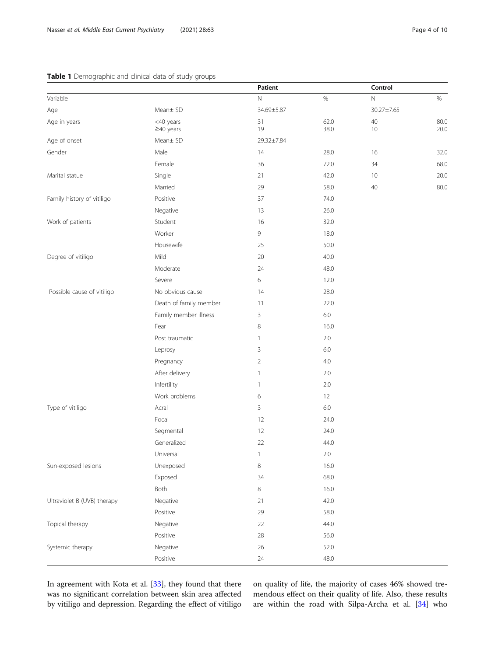#### <span id="page-3-0"></span>Table 1 Demographic and clinical data of study groups

| <b>10 1</b> Define graphic and emilear data or stady |                              | Patient        |              | Control    |              |
|------------------------------------------------------|------------------------------|----------------|--------------|------------|--------------|
| Variable                                             |                              | $\hbox{N}$     | $\%$         | $\hbox{N}$ | $\%$         |
| Age                                                  | Mean± SD                     | 34.69±5.87     |              | 30.27±7.65 |              |
| Age in years                                         | <40 years<br>$\geq$ 40 years | 31<br>19       | 62.0<br>38.0 | 40<br>10   | 80.0<br>20.0 |
| Age of onset                                         | Mean± SD                     | 29.32±7.84     |              |            |              |
| Gender                                               | Male                         | 14             | 28.0         | 16         | 32.0         |
|                                                      | Female                       | 36             | 72.0         | 34         | 68.0         |
| Marital statue                                       | Single                       | 21             | 42.0         | 10         | 20.0         |
|                                                      | Married                      | 29             | 58.0         | $40\,$     | 80.0         |
| Family history of vitiligo                           | Positive                     | 37             | 74.0         |            |              |
|                                                      | Negative                     | 13             | 26.0         |            |              |
| Work of patients                                     | Student                      | 16             | 32.0         |            |              |
|                                                      | Worker                       | 9              | 18.0         |            |              |
|                                                      | Housewife                    | 25             | 50.0         |            |              |
| Degree of vitiligo                                   | Mild                         | 20             | 40.0         |            |              |
|                                                      | Moderate                     | 24             | 48.0         |            |              |
|                                                      | Severe                       | 6              | 12.0         |            |              |
| Possible cause of vitiligo                           | No obvious cause             | 14             | 28.0         |            |              |
|                                                      | Death of family member       | 11             | 22.0         |            |              |
|                                                      | Family member illness        | 3              | 6.0          |            |              |
|                                                      | Fear                         | 8              | 16.0         |            |              |
|                                                      | Post traumatic               | 1              | 2.0          |            |              |
|                                                      | Leprosy                      | 3              | 6.0          |            |              |
|                                                      | Pregnancy                    | $\overline{2}$ | 4.0          |            |              |
|                                                      | After delivery               | 1              | 2.0          |            |              |
|                                                      | Infertility                  | 1              | 2.0          |            |              |
|                                                      | Work problems                | 6              | 12           |            |              |
| Type of vitiligo                                     | Acral                        | 3              | 6.0          |            |              |
|                                                      | Focal                        | 12             | 24.0         |            |              |
|                                                      | Segmental                    | 12             | 24.0         |            |              |
|                                                      | Generalized                  | 22             | 44.0         |            |              |
|                                                      | Universal                    | 1              | 2.0          |            |              |
| Sun-exposed lesions                                  | Unexposed                    | 8              | 16.0         |            |              |
|                                                      | Exposed                      | 34             | 68.0         |            |              |
|                                                      | Both                         | 8              | 16.0         |            |              |
| Ultraviolet B (UVB) therapy                          | Negative                     | 21             | 42.0         |            |              |
|                                                      | Positive                     | 29             | 58.0         |            |              |
| Topical therapy                                      | Negative                     | 22             | 44.0         |            |              |
|                                                      | Positive                     | 28             | 56.0         |            |              |
| Systemic therapy                                     | Negative                     | 26             | 52.0         |            |              |
|                                                      | Positive                     | $24\,$         | 48.0         |            |              |

In agreement with Kota et al. [\[33](#page-9-0)], they found that there was no significant correlation between skin area affected by vitiligo and depression. Regarding the effect of vitiligo

on quality of life, the majority of cases 46% showed tremendous effect on their quality of life. Also, these results are within the road with Silpa-Archa et al. [[34\]](#page-9-0) who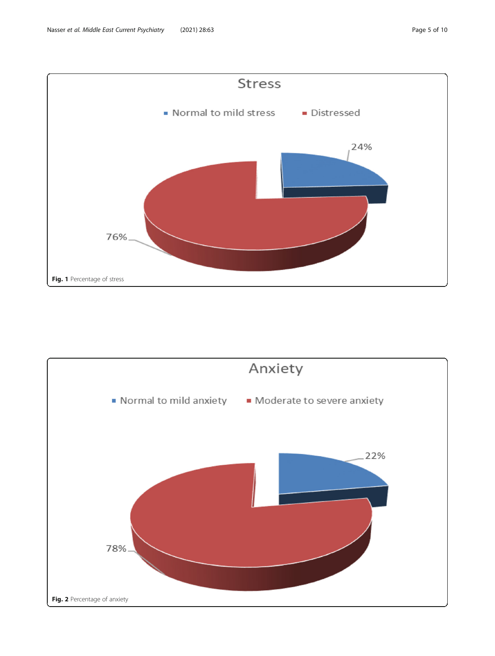<span id="page-4-0"></span>

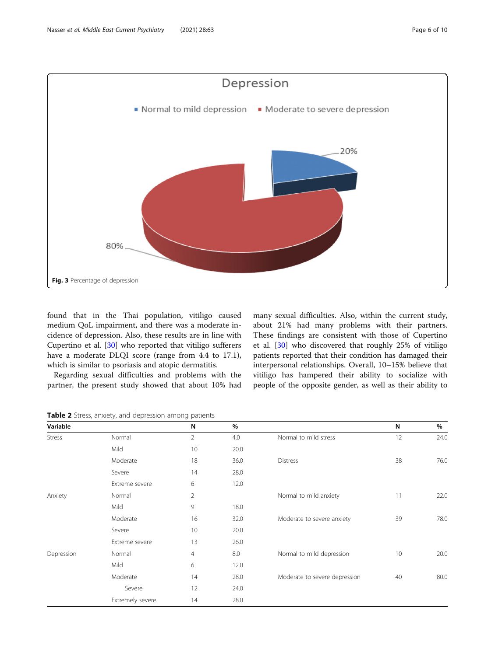<span id="page-5-0"></span>

found that in the Thai population, vitiligo caused medium QoL impairment, and there was a moderate incidence of depression. Also, these results are in line with Cupertino et al. [[30\]](#page-8-0) who reported that vitiligo sufferers have a moderate DLQI score (range from 4.4 to 17.1), which is similar to psoriasis and atopic dermatitis.

Regarding sexual difficulties and problems with the partner, the present study showed that about 10% had many sexual difficulties. Also, within the current study, about 21% had many problems with their partners. These findings are consistent with those of Cupertino et al. [[30\]](#page-8-0) who discovered that roughly 25% of vitiligo patients reported that their condition has damaged their interpersonal relationships. Overall, 10–15% believe that vitiligo has hampered their ability to socialize with people of the opposite gender, as well as their ability to

Table 2 Stress, anxiety, and depression among patients

| Variable      |                  | N              | $\%$ |                               | N  | %    |
|---------------|------------------|----------------|------|-------------------------------|----|------|
| <b>Stress</b> | Normal           | $\overline{2}$ | 4.0  | Normal to mild stress         | 12 | 24.0 |
|               | Mild             | 10             | 20.0 |                               |    |      |
|               | Moderate         | 18             | 36.0 | <b>Distress</b>               | 38 | 76.0 |
|               | Severe           | 14             | 28.0 |                               |    |      |
|               | Extreme severe   | 6              | 12.0 |                               |    |      |
| Anxiety       | Normal           | $\overline{2}$ |      | Normal to mild anxiety        | 11 | 22.0 |
|               | Mild             | 9              | 18.0 |                               |    |      |
|               | Moderate         | 16             | 32.0 | Moderate to severe anxiety    | 39 | 78.0 |
|               | Severe           | 10             | 20.0 |                               |    |      |
|               | Extreme severe   | 13             | 26.0 |                               |    |      |
| Depression    | Normal           | $\overline{4}$ | 8.0  | Normal to mild depression     | 10 | 20.0 |
|               | Mild             | 6              | 12.0 |                               |    |      |
|               | Moderate         | 14             | 28.0 | Moderate to severe depression | 40 | 80.0 |
|               | Severe           | 12             | 24.0 |                               |    |      |
|               | Extremely severe | 14             | 28.0 |                               |    |      |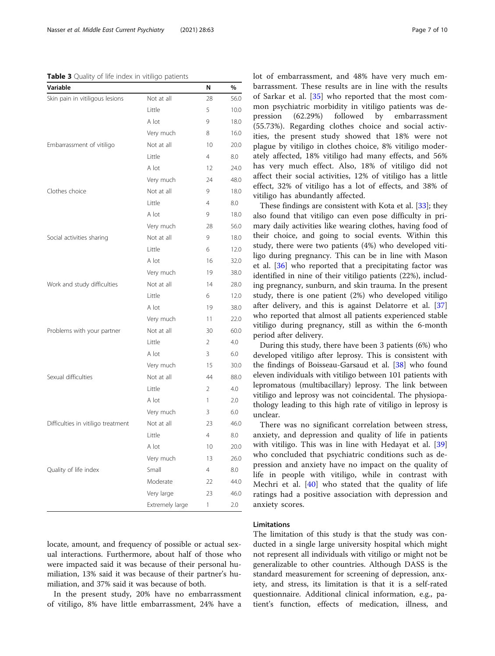#### <span id="page-6-0"></span>Table 3 Quality of life index in vitiligo patients

| Variable                           |                 | N               | %    |
|------------------------------------|-----------------|-----------------|------|
| Skin pain in vitiligous lesions    | Not at all      | 28              | 56.0 |
|                                    | Little          | 5               | 10.0 |
|                                    | A lot           | 9               | 18.0 |
|                                    | Very much       | 8               | 16.0 |
| Embarrassment of vitiligo          | Not at all      | 10              | 20.0 |
|                                    | Little          | $\overline{4}$  | 8.0  |
|                                    | A lot           | 12              | 24.0 |
|                                    | Very much       | 24              | 48.0 |
| Clothes choice                     | Not at all      | 9               | 18.0 |
|                                    | Little          | $\overline{4}$  | 8.0  |
|                                    | A lot           | 9               | 18.0 |
|                                    | Very much       | 28              | 56.0 |
| Social activities sharing          | Not at all      | 9               | 18.0 |
|                                    | Little          | 6               | 12.0 |
|                                    | A lot           | 16              | 32.0 |
|                                    | Very much       | 19              | 38.0 |
| Work and study difficulties        | Not at all      | 14              | 28.0 |
|                                    | Little          | 6               | 12.0 |
|                                    | A lot           | 19              | 38.0 |
|                                    | Very much       | 11              | 22.0 |
| Problems with your partner         | Not at all      | 30              | 60.0 |
|                                    | Little          | $\overline{2}$  | 4.0  |
|                                    | A lot           | 3               | 6.0  |
|                                    | Very much       | 15              | 30.0 |
| Sexual difficulties                | Not at all      | 44              | 88.0 |
|                                    | Little          | 2               | 4.0  |
|                                    | A lot           | 1               | 2.0  |
|                                    | Very much       | 3               | 6.0  |
| Difficulties in vitiligo treatment | Not at all      | 23              | 46.0 |
|                                    | Little          | $\overline{4}$  | 8.0  |
|                                    | A lot           | 10 <sup>°</sup> | 20.0 |
|                                    | Very much       | 13              | 26.0 |
| Quality of life index              | Small           | 4               | 8.0  |
|                                    | Moderate        | 22              | 44.0 |
|                                    | Very large      | 23              | 46.0 |
|                                    | Extremely large | $\mathbf{1}$    | 2.0  |

locate, amount, and frequency of possible or actual sexual interactions. Furthermore, about half of those who were impacted said it was because of their personal humiliation, 13% said it was because of their partner's humiliation, and 37% said it was because of both.

In the present study, 20% have no embarrassment of vitiligo, 8% have little embarrassment, 24% have a lot of embarrassment, and 48% have very much embarrassment. These results are in line with the results of Sarkar et al. [\[35](#page-9-0)] who reported that the most common psychiatric morbidity in vitiligo patients was depression (62.29%) followed by embarrassment (55.73%). Regarding clothes choice and social activities, the present study showed that 18% were not plague by vitiligo in clothes choice, 8% vitiligo moderately affected, 18% vitiligo had many effects, and 56% has very much effect. Also, 18% of vitiligo did not affect their social activities, 12% of vitiligo has a little effect, 32% of vitiligo has a lot of effects, and 38% of vitiligo has abundantly affected.

These findings are consistent with Kota et al. [\[33](#page-9-0)]; they also found that vitiligo can even pose difficulty in primary daily activities like wearing clothes, having food of their choice, and going to social events. Within this study, there were two patients (4%) who developed vitiligo during pregnancy. This can be in line with Mason et al. [\[36\]](#page-9-0) who reported that a precipitating factor was identified in nine of their vitiligo patients (22%), including pregnancy, sunburn, and skin trauma. In the present study, there is one patient (2%) who developed vitiligo after delivery, and this is against Delatorre et al. [[37](#page-9-0)] who reported that almost all patients experienced stable vitiligo during pregnancy, still as within the 6-month period after delivery.

During this study, there have been 3 patients (6%) who developed vitiligo after leprosy. This is consistent with the findings of Boisseau-Garsaud et al. [[38\]](#page-9-0) who found eleven individuals with vitiligo between 101 patients with lepromatous (multibacillary) leprosy. The link between vitiligo and leprosy was not coincidental. The physiopathology leading to this high rate of vitiligo in leprosy is unclear.

There was no significant correlation between stress, anxiety, and depression and quality of life in patients with vitiligo. This was in line with Hedayat et al. [\[39](#page-9-0)] who concluded that psychiatric conditions such as depression and anxiety have no impact on the quality of life in people with vitiligo, while in contrast with Mechri et al. [[40\]](#page-9-0) who stated that the quality of life ratings had a positive association with depression and anxiety scores.

#### Limitations

The limitation of this study is that the study was conducted in a single large university hospital which might not represent all individuals with vitiligo or might not be generalizable to other countries. Although DASS is the standard measurement for screening of depression, anxiety, and stress, its limitation is that it is a self-rated questionnaire. Additional clinical information, e.g., patient's function, effects of medication, illness, and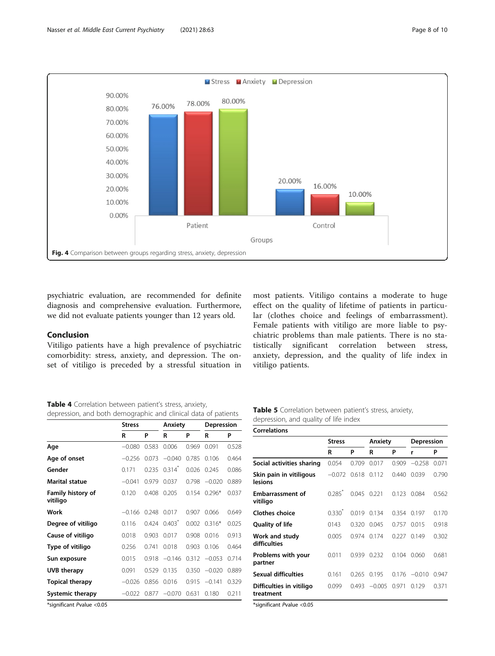<span id="page-7-0"></span>

psychiatric evaluation, are recommended for definite diagnosis and comprehensive evaluation. Furthermore, we did not evaluate patients younger than 12 years old.

#### Conclusion

Vitiligo patients have a high prevalence of psychiatric comorbidity: stress, anxiety, and depression. The onset of vitiligo is preceded by a stressful situation in

most patients. Vitiligo contains a moderate to huge effect on the quality of lifetime of patients in particular (clothes choice and feelings of embarrassment). Female patients with vitiligo are more liable to psychiatric problems than male patients. There is no statistically significant correlation between stress, anxiety, depression, and the quality of life index in vitiligo patients.

Table 4 Correlation between patient's stress, anxiety, depression, and both demographic and clinical data of patients

|                               | <b>Stress</b> |       | Anxiety              |       | Depression |       |  |
|-------------------------------|---------------|-------|----------------------|-------|------------|-------|--|
|                               | R             | P     | R                    | P     | R          | P     |  |
| Age                           | $-0.080$      | 0.583 | 0.006                | 0.969 | 0.091      | 0.528 |  |
| Age of onset                  | $-0.256$      | 0.073 | $-0.040$             | 0.785 | 0.106      | 0.464 |  |
| Gender                        | 0.171         | 0.235 | $0.314$ <sup>*</sup> | 0.026 | 0.245      | 0.086 |  |
| <b>Marital statue</b>         | $-0.041$      | 0.979 | 0.037                | 0.798 | $-0.020$   | 0.889 |  |
| Family history of<br>vitiligo | 0.120         | 0.408 | 0.205                | 0154  | $0.296*$   | 0.037 |  |
| Work                          | $-0.166$      | 0.248 | 0.017                | 0.907 | 0.066      | 0.649 |  |
| Degree of vitiligo            | 0.116         | 0.424 | $0.403$ <sup>*</sup> | 0.002 | $0.316*$   | 0.025 |  |
| Cause of vitiligo             | 0.018         | 0.903 | 0.017                | 0.908 | 0.016      | 0.913 |  |
| Type of vitiligo              | 0.256         | 0.741 | 0.018                | 0.903 | 0.106      | 0.464 |  |
| Sun exposure                  | 0.015         | 0.918 | $-0.146$             | 0.312 | $-0.053$   | 0.714 |  |
| <b>UVB</b> therapy            | 0.091         | 0.529 | 0.135                | 0.350 | $-0.020$   | 0.889 |  |
| <b>Topical therapy</b>        | $-0.026$      | 0.856 | 0.016                | 0.915 | $-0.141$   | 0.329 |  |
| <b>Systemic therapy</b>       | $-0.022$      | 0.877 | $-0.070$             | 0.631 | 0.180      | 0.211 |  |

Table 5 Correlation between patient's stress, anxiety, depression, and quality of life index

| <b>Stress</b>        |       |          |                                              | Depression |                      |
|----------------------|-------|----------|----------------------------------------------|------------|----------------------|
| R                    | P     | R        | P                                            | r          | P                    |
| 0.054                | 0.709 | 0.017    | 0.909                                        | $-0.258$   | 0.071                |
| $-0.072$             | 0.618 | 0.112    | 0.440                                        | 0.039      | 0.790                |
| $0.285$ <sup>*</sup> |       |          | 0.123                                        | 0.084      | 0.562                |
| $0.330^{*}$          |       |          |                                              |            | 0.170                |
| 0143                 | 0.320 | 0.045    | 0.757                                        | 0.015      | 0.918                |
| 0.005                | 0.974 |          | 0.227                                        | 0.149      | 0.302                |
| 0.011                | 0.939 | 0.232    |                                              | 0.060      | 0.681                |
| 0.161                | 0.265 | 0.195    | 0.176                                        | $-0.010$   | 0.947                |
| 0.099                |       | $-0.005$ | 0.971                                        | 0.129      | 0.371                |
|                      |       |          | 0.045 0.221<br>0.019 0.134<br>0.174<br>0.493 | Anxiety    | 0.354 0.197<br>0.104 |

\*significant Pvalue <0.05

\*significant Pvalue <0.05

**Correlations**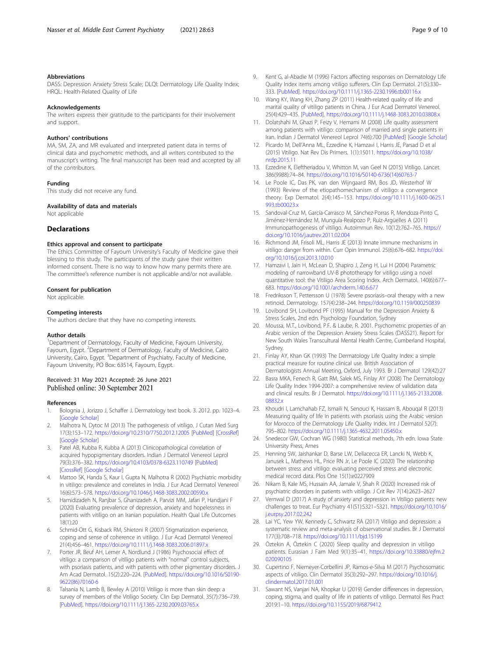#### <span id="page-8-0"></span>Abbreviations

DASS: Depression Anxiety Stress Scale; DLQI: Dermatology Life Quality Index; HRQL: Health-Related Quality of Life

#### Acknowledgements

The writers express their gratitude to the participants for their involvement and support.

#### Authors' contributions

MA, SM, ZA, and MR evaluated and interpreted patient data in terms of clinical data and psychometric methods, and all writers contributed to the manuscript's writing. The final manuscript has been read and accepted by all of the contributors.

#### Funding

This study did not receive any fund.

### Availability of data and materials

Not applicable

#### **Declarations**

#### Ethics approval and consent to participate

The Ethics Committee of Fayoum University's Faculty of Medicine gave their blessing to this study. The participants of the study gave their written informed consent. There is no way to know how many permits there are. The committee's reference number is not applicable and/or not available.

#### Consent for publication

Not applicable.

#### Competing interests

The authors declare that they have no competing interests.

#### Author details

<sup>1</sup>Department of Dermatology, Faculty of Medicine, Fayoum University, Fayoum, Egypt. <sup>2</sup>Department of Dermatology, Faculty of Medicine, Cairo University, Cairo, Egypt. <sup>3</sup>Department of Psychiatry, Faculty of Medicine, Fayoum University, PO Box: 63514, Fayoum, Egypt.

#### Received: 31 May 2021 Accepted: 26 June 2021 Published online: 30 September 2021

#### References

- Bolognia J, Jorizzo J, Schaffer J. Dermatology text book. 3. 2012. pp. 1023-4. [[Google Scholar](https://scholar.google.com/scholar_lookup?title=Dermatology+text+book&author=J+Bolognia&author=J+Jorizzo&author=J+Schaffer&publication_year=2012&)]
- 2. Malhotra N, Dytoc M (2013) The pathogenesis of vitiligo. J Cutan Med Surg 17(3):153–172. <https://doi.org/10.2310/7750.2012.12005> [\[PubMed](https://www.ncbi.nlm.nih.gov/pubmed/23673299)] [[CrossRef\]](https://dx.doi.org/10.2310/7750.2012.12005) [[Google Scholar](https://scholar.google.com/scholar_lookup?journal=J+Cutan+Med+Surg&title=The+pathogenesis+of+vitiligo&author=N+Malhotra&author=M+Dytoc&volume=17&issue=3&publication_year=2013&pages=153-72&pmid=23673299&doi=10.2310/7750.2012.12005&)]
- 3. Patel AB, Kubba R, Kubba A (2013) Clinicopathological correlation of acquired hypopigmentary disorders. Indian J Dermatol Venereol Leprol 79(3):376–382. <https://doi.org/10.4103/0378-6323.110749> [\[PubMed](https://www.ncbi.nlm.nih.gov/pubmed/23619442)] [[CrossRef](https://dx.doi.org/10.4103/0378-6323.110749)] [\[Google Scholar\]](https://scholar.google.com/scholar_lookup?journal=Indian+J+Dermatol+Venereol+Leprol&title=Clinicopathological+correlation+of+acquired+hypopigmentary+disorders&author=AB+Patel&author=R+Kubba&author=A+Kubba&volume=79&issue=3&publication_year=2013&pages=376-82&pmid=23619442&doi=10.4103/0378-6323.110749&)
- Mattoo SK, Handa S, Kaur I, Gupta N, Malhotra R (2002) Psychiatric morbidity in vitiligo: prevalence and correlates in India. J Eur Acad Dermatol Venereol 16(6):573–578. <https://doi.org/10.1046/j.1468-3083.2002.00590.x>
- 5. Hamidizadeh N, Ranjbar S, Ghanizadeh A, Parvizi MM, Jafari P, Handjani F (2020) Evaluating prevalence of depression, anxiety and hopelessness in patients with vitiligo on an Iranian population. Health Qual Life Outcomes 18(1):20
- 6. Schmid-Ott G, Kisback RM, Shietoni R (2007) Stigmatization experience, coping and sense of coherence in vitiligo. J Eur Acad Dermatol Venereol 21(4):456–461. <https://doi.org/10.1111/j.1468-3083.2006.01897.x>
- 7. Porter JR, Beuf AH, Lerner A, Nordlund J (1986) Psychosocial effect of vitiligo: a comparison of vitiligo patients with "normal" control subjects, with psoriasis patients, and with patients with other pigmentary disorders. J Am Acad Dermatol. 15(2):220–224. [\[PubMed](https://www.ncbi.nlm.nih.gov/pubmed/3745526)]. [https://doi.org/10.1016/S0190-](https://doi.org/10.1016/S0190-9622(86)70160-6) [9622\(86\)70160-6](https://doi.org/10.1016/S0190-9622(86)70160-6)
- 8. Talsania N, Lamb B, Bewley A (2010) Vitiligo is more than skin deep: a survey of members of the Vitiligo Society. Clin Exp Dermatol. 35(7):736–739. [[PubMed](https://www.ncbi.nlm.nih.gov/pubmed/20015281)]. <https://doi.org/10.1111/j.1365-2230.2009.03765.x>
- 9. Kent G, al-Abadie M (1996) Factors affecting responses on Dermatology Life Quality Index items among vitiligo sufferers. Clin Exp Dermatol. 21(5):330– 333. [\[PubMed](https://www.ncbi.nlm.nih.gov/pubmed/9136149)]. <https://doi.org/10.1111/j.1365-2230.1996.tb00116.x>
- 10. Wang KY, Wang KH, Zhang ZP (2011) Health-related quality of life and marital quality of vitiligo patients in China. J Eur Acad Dermatol Venereol. 25(4):429–435. [\[PubMed\]](https://www.ncbi.nlm.nih.gov/pubmed/20666878). <https://doi.org/10.1111/j.1468-3083.2010.03808.x>
- 11. Dolatshahi M, Ghazi P, Feizy V, Hemami M (2008) Life quality assessment among patients with vitiligo: comparison of married and single patients in Iran. Indian J Dermatol Venereol Leprol 74(6):700 [[PubMed\]](https://www.ncbi.nlm.nih.gov/pubmed/19177700) [[Google Scholar](https://scholar.google.com/scholar_lookup?journal=Indian+J+Dermatol+Venereol+Leprol&title=Life+quality+assessment+among+patients+with+vitiligo:+Comparison+of+married+and+single+patients+in+Iran&author=M+Dolatshahi&author=P+Ghazi&author=V+Feizy&author=M+Hemami&volume=74&issue=6&publication_year=2008&pages=700&pmid=19177700&)]
- 12. Picardo M, Dell'Anna ML, Ezzedine K, Hamzavi I, Harris JE, Parsad D et al (2015) Vitiligo. Nat Rev Dis Primers. 1(1):15011. [https://doi.org/10.1038/](https://doi.org/10.1038/nrdp.2015.11) [nrdp.2015.11](https://doi.org/10.1038/nrdp.2015.11)
- 13. Ezzedine K, Eleftheriadou V, Whitton M, van Geel N (2015) Vitiligo. Lancet. 386(9988):74–84. [https://doi.org/10.1016/S0140-6736\(14\)60763-7](https://doi.org/10.1016/S0140-6736(14)60763-7)
- 14. Le Poole IC, Das PK, van den Wijngaard RM, Bos JD, Westerhof W (1993) Review of the etiopathomechanism of vitiligo: a convergence theory. Exp Dermatol. 2(4):145–153. [https://doi.org/10.1111/j.1600-0625.1](https://doi.org/10.1111/j.1600-0625.1993.tb00023.x) [993.tb00023.x](https://doi.org/10.1111/j.1600-0625.1993.tb00023.x)
- 15. Sandoval-Cruz M, García-Carrasco M, Sánchez-Porras R, Mendoza-Pinto C, Jiménez-Hernández M, Munguía-Realpozo P, Ruiz-Argüelles A (2011) Immunopathogenesis of vitiligo. Autoimmun Rev. 10(12):762–765. [https://](https://doi.org/10.1016/j.autrev.2011.02.004) [doi.org/10.1016/j.autrev.2011.02.004](https://doi.org/10.1016/j.autrev.2011.02.004)
- 16. Richmond JM, Frisoli ML, Harris JE (2013) Innate immune mechanisms in vitiligo: danger from within. Curr Opin Immunol. 25(6):676–682. [https://doi.](https://doi.org/10.1016/j.coi.2013.10.010) [org/10.1016/j.coi.2013.10.010](https://doi.org/10.1016/j.coi.2013.10.010)
- 17. Hamzavi I, Jain H, McLean D, Shapiro J, Zeng H, Lui H (2004) Parametric modeling of narrowband UV-B phototherapy for vitiligo using a novel quantitative tool: the Vitiligo Area Scoring Index. Arch Dermatol. 140(6):677– 683. <https://doi.org/10.1001/archderm.140.6.677>
- 18. Fredriksson T, Pettersson U (1978) Severe psoriasis–oral therapy with a new retinoid. Dermatology. 157(4):238–244. <https://doi.org/10.1159/000250839>
- 19. Lovibond SH, Lovibond PF (1995) Manual for the Depression Anxiety & Stress Scales, 2nd edn. Psychology Foundation, Sydney
- 20. Moussa, M.T., Lovibond, P.F. & Laube, R. 2001. Psychometric properties of an Arabic version of the Depression Anxiety Stress Scales (DASS21). Report for New South Wales Transcultural Mental Health Centre, Cumberland Hospital, Sydney.
- 21. Finlay AY, Khan GK (1993) The Dermatology Life Quality Index: a simple practical measure for routine clinical use. British Association of Dermatologists Annual Meeting, Oxford, July 1993. Br J Dermatol 129(42):27
- 22. Basra MKA, Fenech R, Gatt RM, Salek MS, Finlay AY (2008) The Dermatology Life Quality Index 1994-2007: a comprehensive review of validation data and clinical results. Br J Dermatol. [https://doi.org/10.1111/j.1365-2133.2008.](https://doi.org/10.1111/j.1365-2133.2008.08832.x) [08832.x](https://doi.org/10.1111/j.1365-2133.2008.08832.x)
- 23. Khoudri I, Lamchahab FZ, Ismaili N, Senouci K, Hassam B, Abouqal R (2013) Measuring quality of life in patients with psoriasis using the Arabic version for Morocco of the Dermatology Life Quality Index. Int J Dermatol 52(7): 795–802. <https://doi.org/10.1111/j.1365-4632.2011.05450.x>
- 24. Snedecor GW, Cochran WG (1980) Statistical methods, 7th edn. Iowa State University Press, Ames
- 25. Henning SW, Jaishankar D, Barse LW, Dellacecca ER, Lancki N, Webb K, Janusek L, Mathews HL, Price RN Jr, Le Poole IC (2020) The relationship between stress and vitiligo: evaluating perceived stress and electronic medical record data. Plos One 15(1):e0227909
- 26. Nikam B, Kale MS, Hussain AA, Jamale V, Shah R (2020) Increased risk of psychiatric disorders in patients with vitiligo. J Crit Rev 7(14):2623–2627
- 27. Vernwal D (2017) A study of anxiety and depression in Vitiligo patients: new challenges to treat. Eur Psychiatry 41(S1):S321–S321. [https://doi.org/10.1016/](https://doi.org/10.1016/j.eurpsy.2017.02.242) [j.eurpsy.2017.02.242](https://doi.org/10.1016/j.eurpsy.2017.02.242)
- 28. Lai YC, Yew YW, Kennedy C, Schwartz RA (2017) Vitiligo and depression: a systematic review and meta-analysis of observational studies. Br J Dermatol 177(3):708–718. <https://doi.org/10.1111/bjd.15199>
- 29. Öztekin A, Öztekin C (2020) Sleep quality and depression in vitiligo patients. Eurasian J Fam Med 9(1):35–41. [https://doi.org/10.33880/ejfm.2](https://doi.org/10.33880/ejfm.2020090105) [020090105](https://doi.org/10.33880/ejfm.2020090105)
- 30. Cupertino F, Niemeyer-Corbellini JP, Ramos-e-Silva M (2017) Psychosomatic aspects of vitiligo. Clin Dermatol 35(3):292–297. [https://doi.org/10.1016/j.](https://doi.org/10.1016/j.clindermatol.2017.01.001) [clindermatol.2017.01.001](https://doi.org/10.1016/j.clindermatol.2017.01.001)
- 31. Sawant NS, Vanjari NA, Khopkar U (2019) Gender differences in depression, coping, stigma, and quality of life in patients of vitiligo. Dermatol Res Pract 2019:1–10. <https://doi.org/10.1155/2019/6879412>